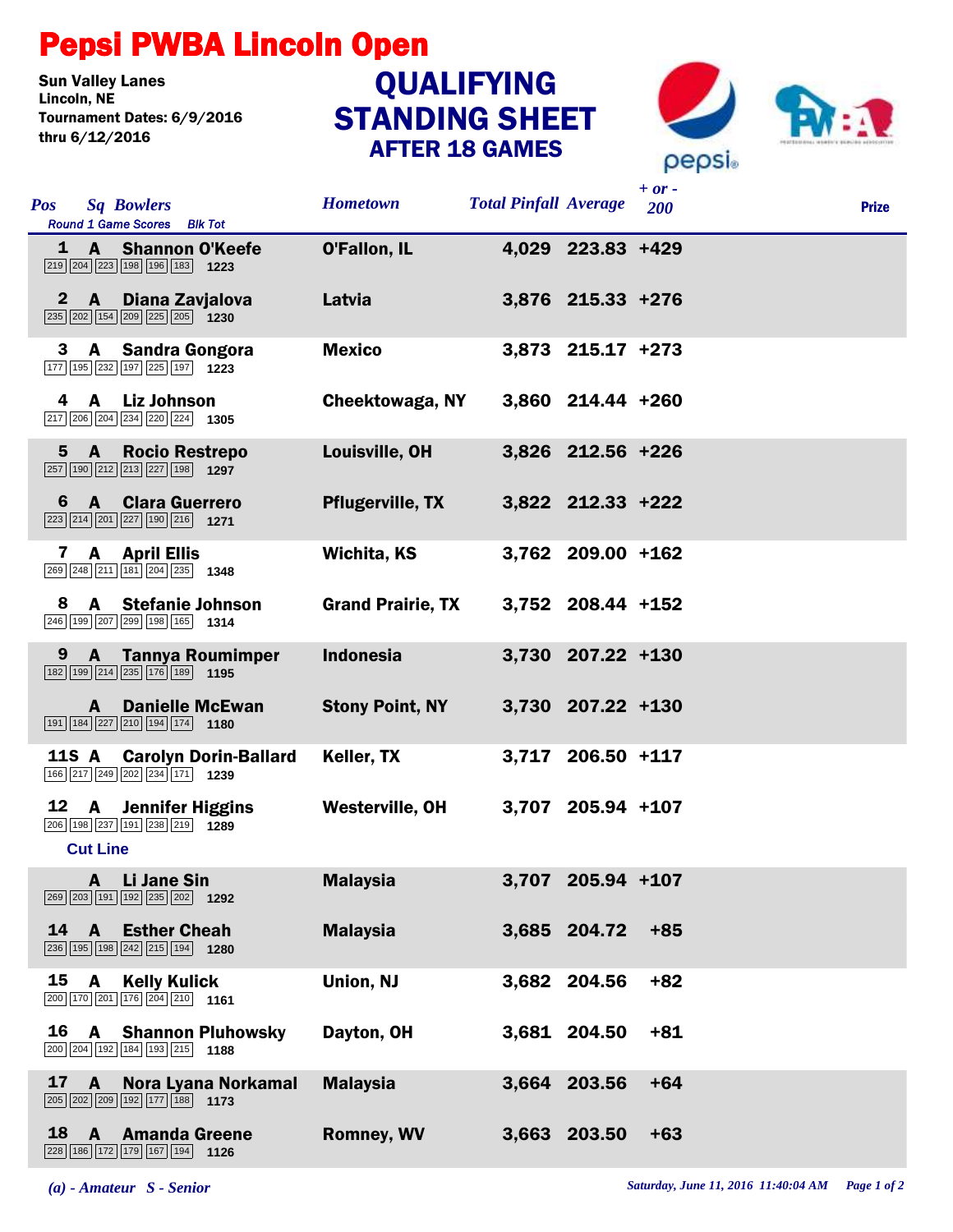## Pepsi PWBA Lincoln Open

**Sun Valley Lanes<br>Lincoln. NE** Tournament Dates: 6/9/2016 thru 6/12/2016

## STANDING SHEET AFTER 18 GAMES **QUALIFYING**



| <b>Pos</b>  | <b>Sq Bowlers</b><br>Round 1 Game Scores Blk Tot                                                                                       | <b>Hometown</b>          | <b>Total Pinfall Average</b> |                     | $+ or -$<br>200 | <b>Prize</b> |
|-------------|----------------------------------------------------------------------------------------------------------------------------------------|--------------------------|------------------------------|---------------------|-----------------|--------------|
|             | 1 A Shannon O'Keefe<br>$\boxed{219}$ $\boxed{204}$ $\boxed{223}$ $\boxed{198}$ $\boxed{196}$ $\boxed{183}$ <b>1223</b>                 | O'Fallon, IL             |                              | 4,029 223.83 +429   |                 |              |
|             | 2 A Diana Zavjalova<br>$\boxed{235}$ $\boxed{202}$ $\boxed{154}$ $\boxed{209}$ $\boxed{225}$ $\boxed{205}$ 1230                        | Latvia                   |                              | 3,876 215.33 +276   |                 |              |
| 3           | A Sandra Gongora<br>177 195 232 197 225 197 1223                                                                                       | <b>Mexico</b>            |                              | $3,873$ 215.17 +273 |                 |              |
|             | 4 A Liz Johnson<br>$\boxed{217}$ $\boxed{206}$ $\boxed{204}$ $\boxed{234}$ $\boxed{220}$ $\boxed{224}$ <b>1305</b>                     | Cheektowaga, NY          |                              | 3,860 214.44 +260   |                 |              |
|             | 5 A Rocio Restrepo<br>257 190 212 213 227 198 1297                                                                                     | Louisville, OH           |                              | 3,826 212.56 +226   |                 |              |
|             | 6 A Clara Guerrero<br>$\boxed{223}\boxed{214}\boxed{201}\boxed{227}\boxed{190}\boxed{216}$ 1271                                        | <b>Pflugerville, TX</b>  |                              | 3,822 212.33 +222   |                 |              |
|             | 7 A April Ellis<br>269 248 211 181 204 235 1348                                                                                        | Wichita, KS              |                              | 3,762 209.00 +162   |                 |              |
| 8.          | A Stefanie Johnson<br>246 199 207 299 198 165 1314                                                                                     | <b>Grand Prairie, TX</b> |                              | 3,752 208.44 +152   |                 |              |
| $9^{\circ}$ | <b>A</b> Tannya Roumimper<br>$\boxed{182}$ $\boxed{199}$ $\boxed{214}$ $\boxed{235}$ $\boxed{176}$ $\boxed{189}$ <b>1195</b>           | <b>Indonesia</b>         |                              | 3,730 207.22 +130   |                 |              |
|             | <b>A</b> Danielle McEwan<br>$\boxed{191}$ $\boxed{184}$ $\boxed{227}$ $\boxed{210}$ $\boxed{194}$ $\boxed{174}$ <b>1180</b>            | <b>Stony Point, NY</b>   |                              | 3,730 207.22 +130   |                 |              |
| 11S A       | <b>Carolyn Dorin-Ballard</b><br>166 217 249 202 234 171 1239                                                                           | Keller, TX               |                              | 3,717 206.50 +117   |                 |              |
| 12          | <b>A</b> Jennifer Higgins<br>206 198 237 191 238 219 1289<br><b>Cut Line</b>                                                           | Westerville, OH          |                              | 3,707 205.94 +107   |                 |              |
|             | A Li Jane Sin<br>269 203 191 192 235 202 1292                                                                                          | <b>Malaysia</b>          |                              | 3,707 205.94 +107   |                 |              |
| 14          | A<br><b>Esther Cheah</b><br>236 195 198 242 215 194 1280                                                                               | <b>Malaysia</b>          |                              | 3,685 204.72        | $+85$           |              |
| 15          | A<br><b>Kelly Kulick</b><br>200 170 201 176 204 210 1161                                                                               | Union, NJ                |                              | 3,682 204.56        | $+82$           |              |
| 16          | <b>Shannon Pluhowsky</b><br>A<br>200 204 192 184 193 215 1188                                                                          | Dayton, OH               |                              | 3,681 204.50        | $+81$           |              |
| 17          | Nora Lyana Norkamal<br>$\mathbf{A}$<br>$\boxed{205}$ $\boxed{202}$ $\boxed{209}$ $\boxed{192}$ $\boxed{177}$ $\boxed{188}$ <b>1173</b> | <b>Malaysia</b>          |                              | 3,664 203.56        | $+64$           |              |
| 18          | A<br><b>Amanda Greene</b><br>228 186 172 179 167 194 1126                                                                              | <b>Romney, WV</b>        |                              | 3,663 203.50        | $+63$           |              |